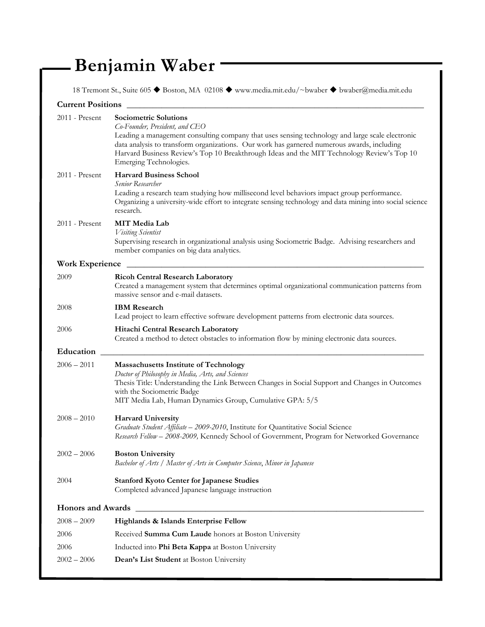## **Benjamin Waber**

18 Tremont St., Suite 605 Boston, MA 02108 www.media.mit.edu/~bwaber bwaber@media.mit.edu

| <b>Current Positions</b> |                                                                                                                                                                                                                                                                                                                                                                                         |  |
|--------------------------|-----------------------------------------------------------------------------------------------------------------------------------------------------------------------------------------------------------------------------------------------------------------------------------------------------------------------------------------------------------------------------------------|--|
| $2011$ - Present         | <b>Sociometric Solutions</b><br>Co-Founder, President, and CEO<br>Leading a management consulting company that uses sensing technology and large scale electronic<br>data analysis to transform organizations. Our work has garnered numerous awards, including<br>Harvard Business Review's Top 10 Breakthrough Ideas and the MIT Technology Review's Top 10<br>Emerging Technologies. |  |
| 2011 - Present           | <b>Harvard Business School</b><br>Senior Researcher<br>Leading a research team studying how millisecond level behaviors impact group performance.<br>Organizing a university-wide effort to integrate sensing technology and data mining into social science<br>research.                                                                                                               |  |
| $2011$ - Present         | <b>MIT</b> Media Lab<br>Visiting Scientist<br>Supervising research in organizational analysis using Sociometric Badge. Advising researchers and<br>member companies on big data analytics.                                                                                                                                                                                              |  |
| <b>Work Experience</b>   |                                                                                                                                                                                                                                                                                                                                                                                         |  |
| 2009                     | <b>Ricoh Central Research Laboratory</b><br>Created a management system that determines optimal organizational communication patterns from<br>massive sensor and e-mail datasets.                                                                                                                                                                                                       |  |
| 2008                     | <b>IBM</b> Research<br>Lead project to learn effective software development patterns from electronic data sources.                                                                                                                                                                                                                                                                      |  |
| 2006                     | Hitachi Central Research Laboratory<br>Created a method to detect obstacles to information flow by mining electronic data sources.                                                                                                                                                                                                                                                      |  |
| Education                |                                                                                                                                                                                                                                                                                                                                                                                         |  |
| $2006 - 2011$            | <b>Massachusetts Institute of Technology</b><br>Doctor of Philosophy in Media, Arts, and Sciences<br>Thesis Title: Understanding the Link Between Changes in Social Support and Changes in Outcomes<br>with the Sociometric Badge<br>MIT Media Lab, Human Dynamics Group, Cumulative GPA: 5/5                                                                                           |  |
| $2008 - 2010$            | <b>Harvard University</b><br>Graduate Student Affiliate - 2009-2010, Institute for Quantitative Social Science<br>Research Fellow - 2008-2009, Kennedy School of Government, Program for Networked Governance                                                                                                                                                                           |  |
| $2002 - 2006$            | <b>Boston University</b><br>Bachelor of Arts / Master of Arts in Computer Science, Minor in Japanese                                                                                                                                                                                                                                                                                    |  |
| 2004                     | <b>Stanford Kyoto Center for Japanese Studies</b><br>Completed advanced Japanese language instruction                                                                                                                                                                                                                                                                                   |  |
|                          |                                                                                                                                                                                                                                                                                                                                                                                         |  |
| $2008 - 2009$            | Highlands & Islands Enterprise Fellow                                                                                                                                                                                                                                                                                                                                                   |  |
| 2006                     | Received Summa Cum Laude honors at Boston University                                                                                                                                                                                                                                                                                                                                    |  |
| 2006                     | Inducted into Phi Beta Kappa at Boston University                                                                                                                                                                                                                                                                                                                                       |  |
| $2002 - 2006$            | Dean's List Student at Boston University                                                                                                                                                                                                                                                                                                                                                |  |